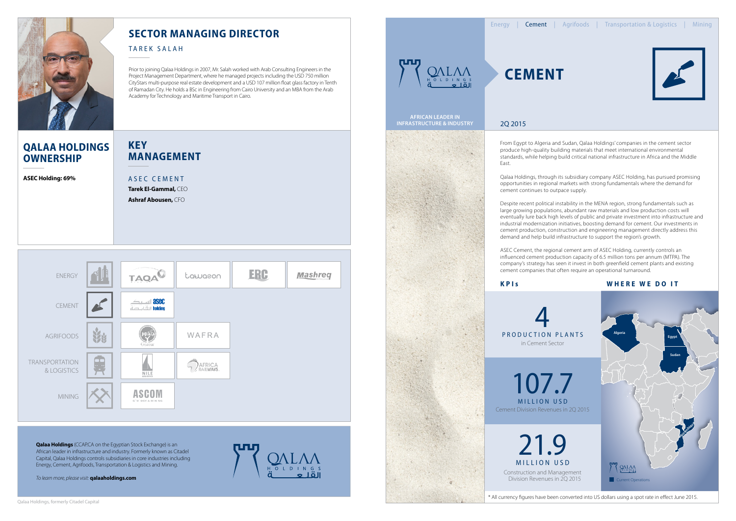TAQAO ERC Mashreq ENERGY tawason **asec** CEMENT alle the holding 33 WAFRA Agrifoods Transportation PAFRICA  $\Box$ & Logistics nile **ASCOM** MINING

From Egypt to Algeria and Sudan, Qalaa Holdings' companies in the cement sector produce high-quality building materials that meet international environmental standards, while helping build critical national infrastructure in Africa and the Middle

### **WHERE WE DO IT**

East.

Qalaa Holdings, through its subsidiary company ASEC Holding, has pursued promising opportunities in regional markets with strong fundamentals where the demand for cement continues to outpace supply.

Despite recent political instability in the MENA region, strong fundamentals such as large growing populations, abundant raw materials and low production costs will eventually lure back high levels of public and private investment into infrastructure and industrial modernization initiatives, boosting demand for cement. Our investments in cement production, construction and engineering management directly address this demand and help build infrastructure to support the region's growth.

# **Qalaa Holdings OWNERSHIP**

ASEC CEMENT **Tarek El-Gammal,** CEO

> ASEC Cement, the regional cement arm of ASEC Holding, currently controls an influenced cement production capacity of 6.5 million tons per annum (MTPA). The company's strategy has seen it invest in both greenfield cement plants and existing cement companies that often require an operational turnaround.

**Qalaa Holdings** (CCAP.CA on the Egyptian Stock Exchange) is an African leader in infrastructure and industry. Formerly known as Citadel Capital, Qalaa Holdings controls subsidiaries in core industries including Energy, Cement, Agrifoods, Transportation & Logistics and Mining.

**Cement**



# **Sector MANAGING DIRECTOR**

### Tarek Salah

Prior to joining Qalaa Holdings in 2007, Mr. Salah worked with Arab Consulting Engineers in the Project Management Department, where he managed projects including the USD 750 million CityStars multi-purpose real estate development and a USD 107 million float glass factory in Tenth of Ramadan City. He holds a BSc in Engineering from Cairo University and an MBA from the Arab Academy for Technology and Maritime Transport in Cairo.

## **Key Management**

**K P I s** 

**Ashraf Abousen,** CFO

**ASEC Holding: 69%**



2Q 2015

Qalaa Holdings, formerly Citadel Capital



**African Leader in Infrastructure & Industry**



*To learn more, please visit:* **qalaaholdings.com**





\* All currency figures have been converted into US dollars using a spot rate in effect June 2015.